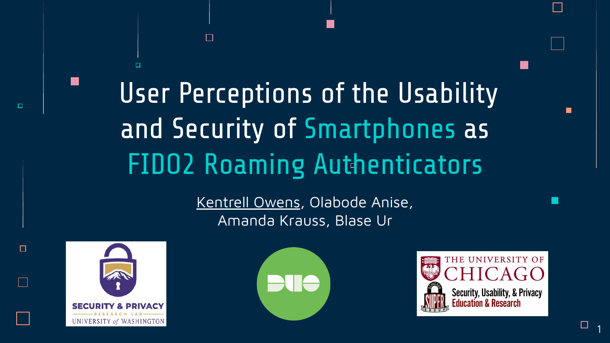User Perceptions of the Usability and Security of Smartphones as **FIDO2 Roaming Authenticators** 

 $\Box$ 

Kentrell Owens, Olabode Anise, Amanda Krauss, Blase Ur



 $\Box$ 



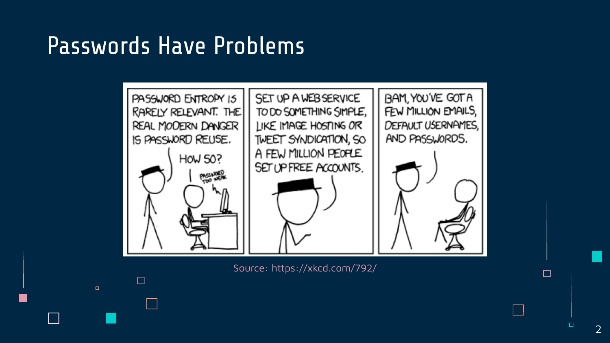### Passwords Have Problems

 $\Box$ 

 $\Box$ 



Source: https://xkcd.com/792/

 $\Box$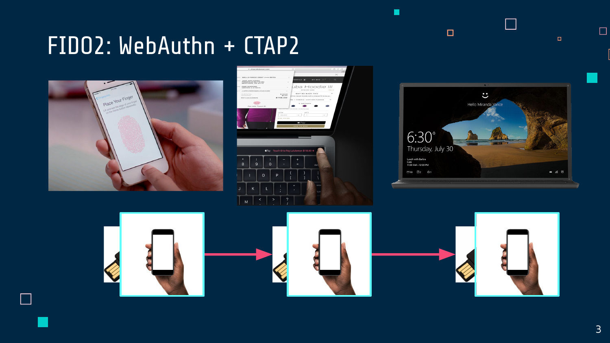## FIDO2: WebAuthn + CTAP2



Г





 $\Box$ 

 $\Box$ 

г





 $\Box$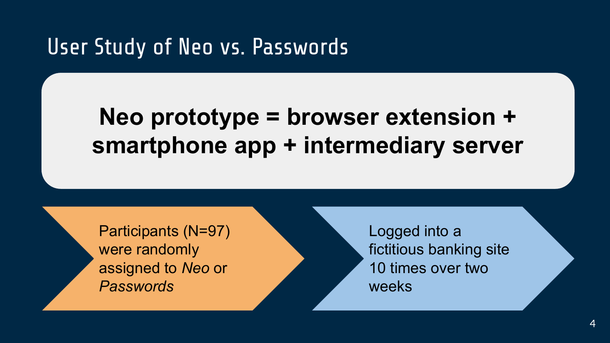### User Study of Neo vs. Passwords

### **Neo prototype = browser extension + smartphone app + intermediary server**

Participants (N=97) were randomly assigned to *Neo* or *Passwords*

Logged into a fictitious banking site 10 times over two weeks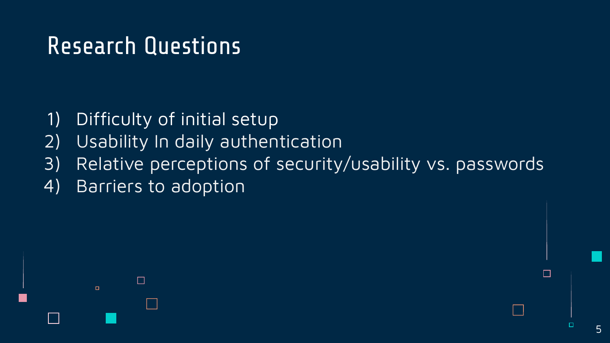- 1) Difficulty of initial setup
- 2) Usability In daily authentication
- 3) Relative perceptions of security/usability vs. passwords
- 4) Barriers to adoption



□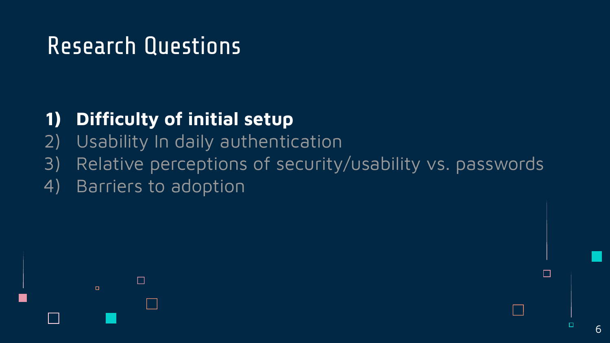### **1) Difficulty of initial setup**

- 2) Usability In daily authentication
- 3) Relative perceptions of security/usability vs. passwords
- 4) Barriers to adoption



п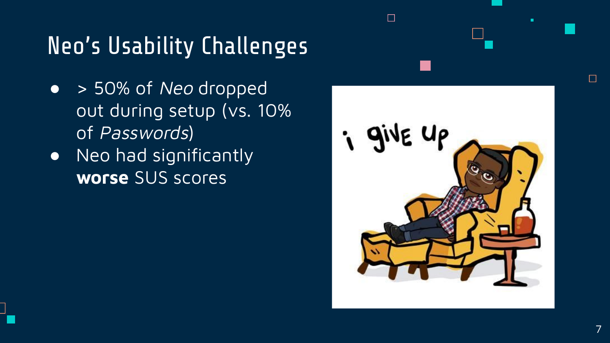# Neo's Usability Challenges

- > 50% of Neo dropped out during setup (vs. 10% of Passwords)
- Neo had significantly **worse** SUS scores



 $\Box$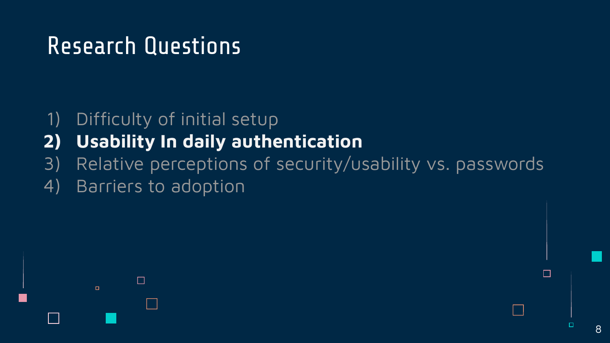#### 1) Difficulty of initial setup

- **2) Usability In daily authentication**
- 3) Relative perceptions of security/usability vs. passwords
- 4) Barriers to adoption



п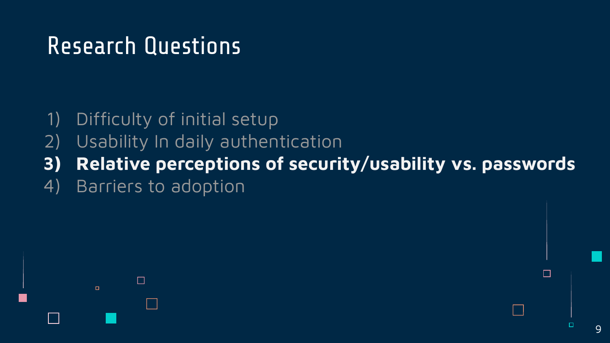- 1) Difficulty of initial setup
- 2) Usability In daily authentication
- **3) Relative perceptions of security/usability vs. passwords**
- 4) Barriers to adoption

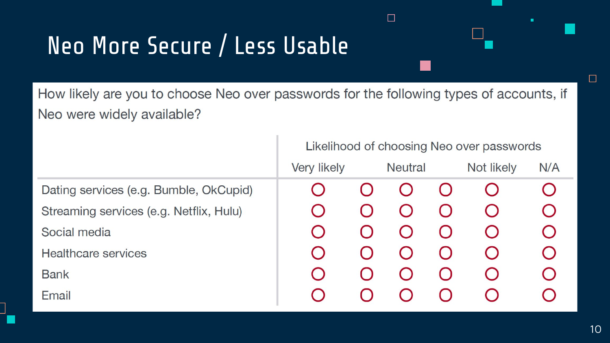# Neo More Secure / Less Usable

How likely are you to choose Neo over passwords for the following types of accounts, if Neo were widely available?

 $\Box$ 

|                                         | Likelihood of choosing Neo over passwords |  |                |  |            |                        |
|-----------------------------------------|-------------------------------------------|--|----------------|--|------------|------------------------|
|                                         | Very likely                               |  | <b>Neutral</b> |  | Not likely | N/A                    |
| Dating services (e.g. Bumble, OkCupid)  |                                           |  |                |  |            |                        |
| Streaming services (e.g. Netflix, Hulu) |                                           |  |                |  |            | $\cup$                 |
| Social media                            |                                           |  |                |  |            | $\left( \quad \right)$ |
| <b>Healthcare services</b>              |                                           |  |                |  |            | $\cup$                 |
| <b>Bank</b>                             |                                           |  |                |  |            | ( )                    |
| Email                                   |                                           |  |                |  |            |                        |

 $\Box$ 

ь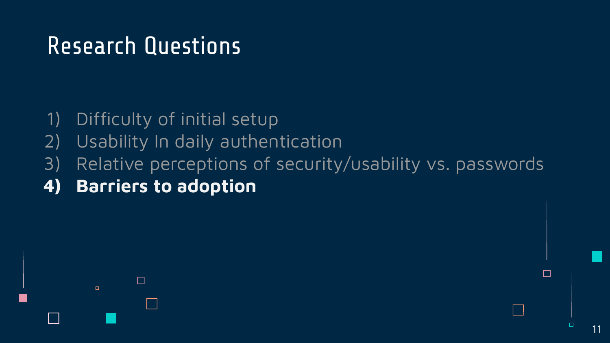- 1) Difficulty of initial setup
- 2) Usability In daily authentication
- 3) Relative perceptions of security/usability vs. passwords
- **4) Barriers to adoption**

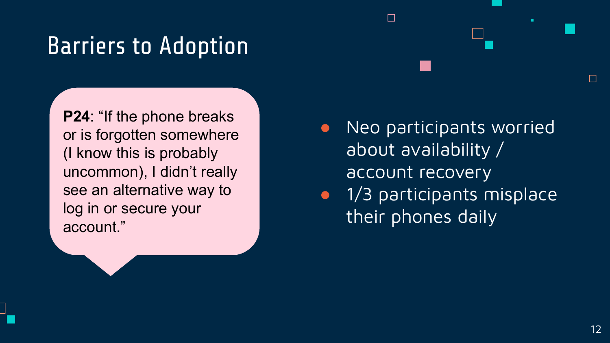## Barriers to Adoption

**P24**: "If the phone breaks or is forgotten somewhere (I know this is probably uncommon), I didn't really see an alternative way to log in or secure your account."

● Neo participants worried about availability / account recovery

 $\Box$ 

**•** 1/3 participants misplace their phones daily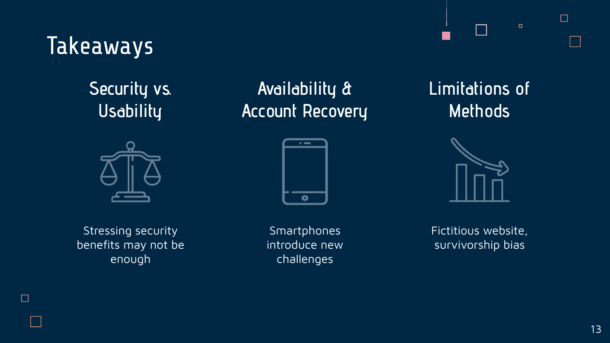### Takeaways

### **Security vs. Usability**



Stressing security benefits may not be enough

 $\Box$ 

**Availability & Account Recovery**



Smartphones introduce new challenges

**Limitations of Methods**



Fictitious website, survivorship bias

 $\Box$